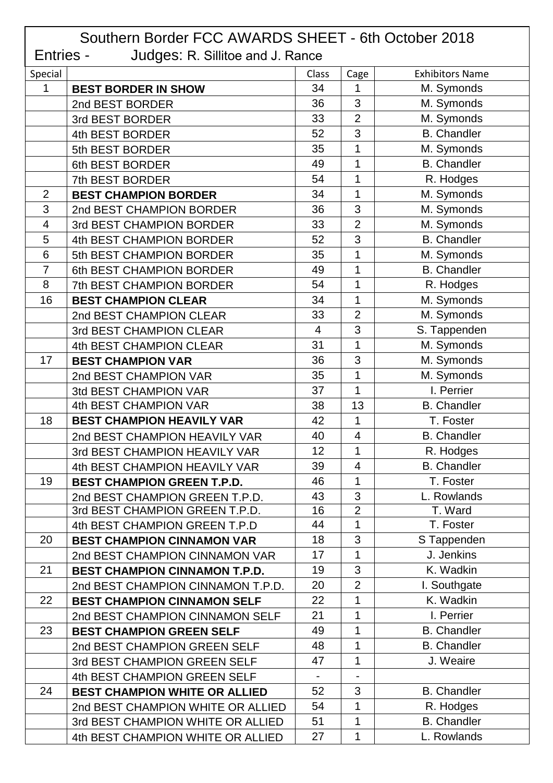| Southern Border FCC AWARDS SHEET - 6th October 2018  |                                      |                          |                          |                        |  |  |  |
|------------------------------------------------------|--------------------------------------|--------------------------|--------------------------|------------------------|--|--|--|
| Entries -<br><b>Judges: R. Sillitoe and J. Rance</b> |                                      |                          |                          |                        |  |  |  |
| Special                                              |                                      | Class                    | Cage                     | <b>Exhibitors Name</b> |  |  |  |
| 1                                                    | <b>BEST BORDER IN SHOW</b>           | 34                       | 1                        | M. Symonds             |  |  |  |
|                                                      | 2nd BEST BORDER                      | 36                       | 3                        | M. Symonds             |  |  |  |
|                                                      | 3rd BEST BORDER                      | 33                       | $\overline{2}$           | M. Symonds             |  |  |  |
|                                                      | 4th BEST BORDER                      | 52                       | 3                        | <b>B.</b> Chandler     |  |  |  |
|                                                      | 5th BEST BORDER                      | 35                       | 1                        | M. Symonds             |  |  |  |
|                                                      | 6th BEST BORDER                      | 49                       | 1                        | <b>B.</b> Chandler     |  |  |  |
|                                                      | 7th BEST BORDER                      | 54                       | 1                        | R. Hodges              |  |  |  |
| $\overline{2}$                                       | <b>BEST CHAMPION BORDER</b>          | 34                       | 1                        | M. Symonds             |  |  |  |
| 3                                                    | 2nd BEST CHAMPION BORDER             | 36                       | 3                        | M. Symonds             |  |  |  |
| 4                                                    | 3rd BEST CHAMPION BORDER             | 33                       | $\overline{2}$           | M. Symonds             |  |  |  |
| 5                                                    | 4th BEST CHAMPION BORDER             | 52                       | 3                        | <b>B.</b> Chandler     |  |  |  |
| 6                                                    | 5th BEST CHAMPION BORDER             | 35                       | 1                        | M. Symonds             |  |  |  |
| $\overline{7}$                                       | 6th BEST CHAMPION BORDER             | 49                       | 1                        | <b>B.</b> Chandler     |  |  |  |
| 8                                                    | 7th BEST CHAMPION BORDER             | 54                       | 1                        | R. Hodges              |  |  |  |
| 16                                                   | <b>BEST CHAMPION CLEAR</b>           | 34                       | 1                        | M. Symonds             |  |  |  |
|                                                      | 2nd BEST CHAMPION CLEAR              | 33                       | $\overline{2}$           | M. Symonds             |  |  |  |
|                                                      | 3rd BEST CHAMPION CLEAR              | $\overline{4}$           | 3                        | S. Tappenden           |  |  |  |
|                                                      | 4th BEST CHAMPION CLEAR              | 31                       | 1                        | M. Symonds             |  |  |  |
| 17                                                   | <b>BEST CHAMPION VAR</b>             | 36                       | 3                        | M. Symonds             |  |  |  |
|                                                      | 2nd BEST CHAMPION VAR                | 35                       | 1                        | M. Symonds             |  |  |  |
|                                                      | 3td BEST CHAMPION VAR                | 37                       | $\overline{1}$           | I. Perrier             |  |  |  |
|                                                      | 4th BEST CHAMPION VAR                | 38                       | 13                       | <b>B.</b> Chandler     |  |  |  |
| 18                                                   | <b>BEST CHAMPION HEAVILY VAR</b>     | 42                       | 1                        | T. Foster              |  |  |  |
|                                                      | 2nd BEST CHAMPION HEAVILY VAR        | 40                       | $\overline{\mathcal{A}}$ | <b>B.</b> Chandler     |  |  |  |
|                                                      | 3rd BEST CHAMPION HEAVILY VAR        | 12                       | 1                        | R. Hodges              |  |  |  |
|                                                      | 4th BEST CHAMPION HEAVILY VAR        | 39                       | $\overline{\mathcal{A}}$ | <b>B.</b> Chandler     |  |  |  |
| 19                                                   | <b>BEST CHAMPION GREEN T.P.D.</b>    | 46                       | 1                        | T. Foster              |  |  |  |
|                                                      | 2nd BEST CHAMPION GREEN T.P.D.       | 43                       | 3                        | L. Rowlands            |  |  |  |
|                                                      | 3rd BEST CHAMPION GREEN T.P.D.       | 16                       | $\overline{2}$           | T. Ward                |  |  |  |
|                                                      | 4th BEST CHAMPION GREEN T.P.D        | 44                       | 1                        | T. Foster              |  |  |  |
| 20                                                   | <b>BEST CHAMPION CINNAMON VAR</b>    | 18                       | 3                        | S Tappenden            |  |  |  |
|                                                      | 2nd BEST CHAMPION CINNAMON VAR       | 17                       | 1                        | J. Jenkins             |  |  |  |
| 21                                                   | <b>BEST CHAMPION CINNAMON T.P.D.</b> | 19                       | 3                        | K. Wadkin              |  |  |  |
|                                                      | 2nd BEST CHAMPION CINNAMON T.P.D.    | 20                       | $\overline{2}$           | I. Southgate           |  |  |  |
| 22                                                   | <b>BEST CHAMPION CINNAMON SELF</b>   | 22                       | 1                        | K. Wadkin              |  |  |  |
|                                                      | 2nd BEST CHAMPION CINNAMON SELF      | 21                       | 1                        | I. Perrier             |  |  |  |
| 23                                                   | <b>BEST CHAMPION GREEN SELF</b>      | 49                       | 1                        | <b>B.</b> Chandler     |  |  |  |
|                                                      | 2nd BEST CHAMPION GREEN SELF         | 48                       | 1                        | <b>B.</b> Chandler     |  |  |  |
|                                                      | 3rd BEST CHAMPION GREEN SELF         | 47                       | 1                        | J. Weaire              |  |  |  |
|                                                      | 4th BEST CHAMPION GREEN SELF         | $\overline{\phantom{a}}$ |                          |                        |  |  |  |
| 24                                                   | <b>BEST CHAMPION WHITE OR ALLIED</b> | 52                       | 3                        | <b>B.</b> Chandler     |  |  |  |
|                                                      | 2nd BEST CHAMPION WHITE OR ALLIED    | 54                       | 1                        | R. Hodges              |  |  |  |
|                                                      | 3rd BEST CHAMPION WHITE OR ALLIED    | 51                       | 1                        | <b>B.</b> Chandler     |  |  |  |
|                                                      | 4th BEST CHAMPION WHITE OR ALLIED    | 27                       | 1                        | L. Rowlands            |  |  |  |